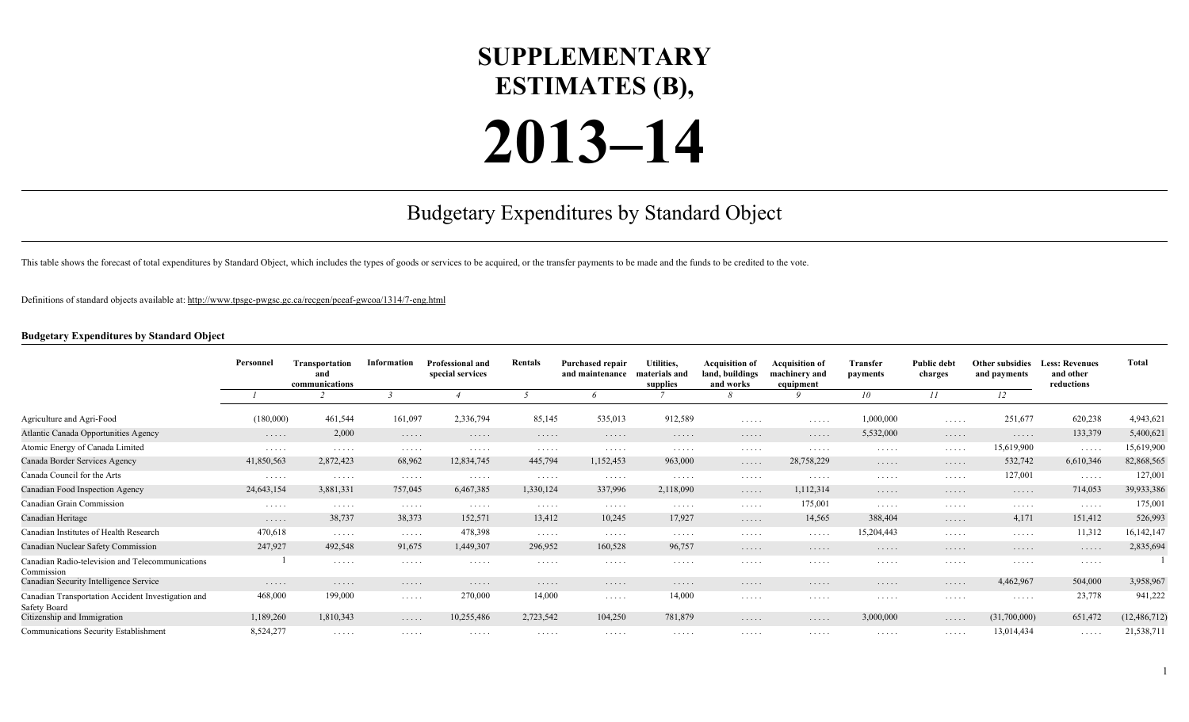## **SUPPLEMENTARY ESTIMATES (B),**

## **2013–14**

## Budgetary Expenditures by Standard Object

This table shows the forecast of total expenditures by Standard Object, which includes the types of goods or services to be acquired, or the transfer payments to be made and the funds to be credited to the vote.

Definitions of standard objects available at:<http://www.tpsgc-pwgsc.gc.ca/recgen/pceaf-gwcoa/1314/7-eng.html>

## **Budgetary Expenditures by Standard Object**

|                                                                           | Personnel  | Transportation<br>and<br>communications | Information | <b>Professional and</b><br>special services | Rentals   | <b>Purchased repair</b><br>and maintenance | Utilities,<br>materials and<br>supplies | <b>Acquisition of</b><br>land, buildings<br>and works | <b>Acquisition of</b><br>machinery and<br>equipment | Transfer<br>payments | <b>Public debt</b><br>charges | <b>Other subsidies</b><br>and payments | <b>Less: Revenues</b><br>and other<br>reductions | <b>Total</b>   |
|---------------------------------------------------------------------------|------------|-----------------------------------------|-------------|---------------------------------------------|-----------|--------------------------------------------|-----------------------------------------|-------------------------------------------------------|-----------------------------------------------------|----------------------|-------------------------------|----------------------------------------|--------------------------------------------------|----------------|
|                                                                           |            |                                         |             |                                             |           |                                            |                                         |                                                       |                                                     | 10                   | 11                            | 12                                     |                                                  |                |
| Agriculture and Agri-Food                                                 | (180,000)  | 461,544                                 | 161,097     | 2,336,794                                   | 85,145    | 535,013                                    | 912,589                                 | .                                                     | $\cdots$                                            | 1,000,000            | .                             | 251,677                                | 620,238                                          | 4,943,621      |
| Atlantic Canada Opportunities Agency                                      | $\cdots$   | 2,000                                   | .           | .                                           | .         | .                                          | .                                       | .                                                     | $\cdots$                                            | 5,532,000            | .                             | $\cdots$                               | 133,379                                          | 5,400,621      |
| Atomic Energy of Canada Limited                                           | .          | .                                       | .           | .                                           | $\cdots$  | .                                          | .                                       | .                                                     | .                                                   | .                    | .                             | 15,619,900                             | $\cdots$                                         | 15,619,900     |
| Canada Border Services Agency                                             | 41,850,563 | 2,872,423                               | 68,962      | 12,834,745                                  | 445,794   | 1,152,453                                  | 963,000                                 | .                                                     | 28,758,229                                          | .                    | .                             | 532,742                                | 6,610,346                                        | 82,868,565     |
| Canada Council for the Arts                                               | $\cdots$   | .                                       | .           | $\cdots$                                    | $\cdots$  | .                                          | $\cdots$                                | .                                                     | $\cdots$                                            | .                    | .                             | 127,001                                | $\cdots$                                         | 127,001        |
| Canadian Food Inspection Agency                                           | 24,643,154 | 3,881,331                               | 757,045     | 6,467,385                                   | 1,330,124 | 337,996                                    | 2,118,090                               | .                                                     | 1,112,314                                           | .                    | .                             | $\cdots$                               | 714,053                                          | 39,933,386     |
| Canadian Grain Commission                                                 | .          | .                                       | .           | .                                           | $\cdots$  | .                                          | $\cdots$                                | .                                                     | 175,001                                             | .                    | .                             | .                                      | .                                                | 175,001        |
| Canadian Heritage                                                         | .          | 38,737                                  | 38,373      | 152,571                                     | 13,412    | 10,245                                     | 17,927                                  | .                                                     | 14,565                                              | 388,404              | .                             | 4,171                                  | 151,412                                          | 526,993        |
| Canadian Institutes of Health Research                                    | 470,618    | $\sim$ $\sim$ $\sim$ $\sim$ $\sim$      | $\cdots$    | 478,398                                     | $\cdots$  | .                                          | $\cdots$                                | .                                                     | $\cdots$                                            | 15,204,443           | .                             | $\sim$ $\sim$ $\sim$ $\sim$ $\sim$     | 11,312                                           | 16, 142, 147   |
| Canadian Nuclear Safety Commission                                        | 247,927    | 492,548                                 | 91,675      | 1,449,307                                   | 296,952   | 160,528                                    | 96,757                                  | .                                                     | .                                                   | .                    | .                             | .                                      | .                                                | 2,835,694      |
| Canadian Radio-television and Telecommunications<br>Commission            |            | .                                       | .           | .                                           | .         | .                                          | $\cdots$                                | .                                                     | .                                                   | .                    | $\cdots$                      | .                                      | .                                                |                |
| Canadian Security Intelligence Service                                    | .          | .                                       | .           | .                                           | .         | .                                          | .                                       | .                                                     | .                                                   | .                    | .                             | 4,462,967                              | 504,000                                          | 3,958,967      |
| Canadian Transportation Accident Investigation and<br><b>Safety Board</b> | 468,000    | 199,000                                 | .           | 270,000                                     | 14,000    | .                                          | 14,000                                  | .                                                     | .                                                   | .                    | .                             | .                                      | 23,778                                           | 941,222        |
| Citizenship and Immigration                                               | 1,189,260  | 1,810,343                               | .           | 10,255,486                                  | 2,723,542 | 104,250                                    | 781,879                                 | .                                                     | .                                                   | 3,000,000            | .                             | (31,700,000)                           | 651,472                                          | (12, 486, 712) |
| Communications Security Establishment                                     | 8,524,277  | .                                       | .           | .                                           | $\cdots$  | .                                          | .                                       | .                                                     | .                                                   | .                    | .                             | 13,014,434                             | .                                                | 21,538,711     |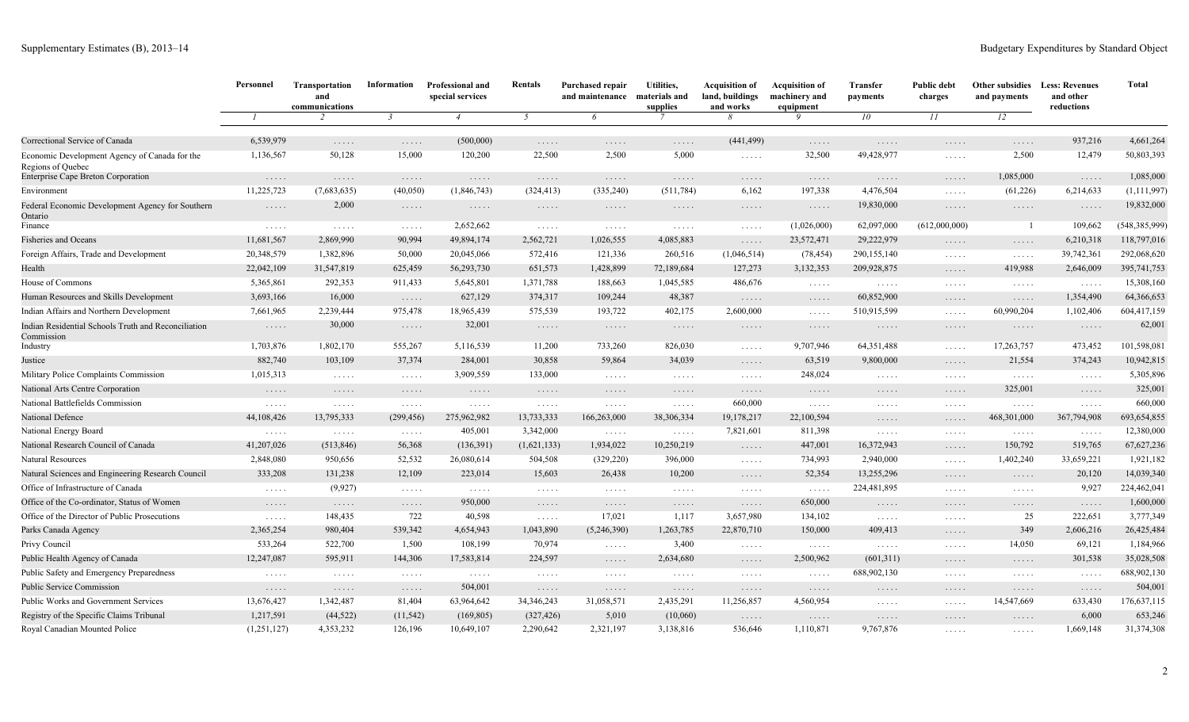|                                                                    | Personnel                          | Transportation<br>and<br>communications | Information                                      | Professional and<br>special services | Rentals                            | <b>Purchased repair</b><br>and maintenance | Utilities,<br>materials and<br>supplies          | <b>Acquisition of</b><br>land, buildings<br>and works | <b>Acquisition of</b><br>machinery and<br>equipment | <b>Transfer</b><br>payments        | <b>Public debt</b><br>charges<br>II              | Other subsidies<br>and payments<br>12            | <b>Less: Revenues</b><br>and other<br>reductions | <b>Total</b>    |
|--------------------------------------------------------------------|------------------------------------|-----------------------------------------|--------------------------------------------------|--------------------------------------|------------------------------------|--------------------------------------------|--------------------------------------------------|-------------------------------------------------------|-----------------------------------------------------|------------------------------------|--------------------------------------------------|--------------------------------------------------|--------------------------------------------------|-----------------|
|                                                                    |                                    | $\overline{z}$                          | $\mathbf{3}$                                     | $\overline{4}$                       | $5\overline{)}$                    | 6                                          |                                                  | 8                                                     | 9                                                   | 10 <sup>°</sup>                    |                                                  |                                                  |                                                  |                 |
| Correctional Service of Canada                                     | 6,539,979                          | $\dots$                                 | .                                                | (500,000)                            | $\ldots$                           | .                                          | $\dots$                                          | (441, 499)                                            | $\dots$                                             | $\dots$                            | $\dots$                                          | .                                                | 937,216                                          | 4,661,264       |
| Economic Development Agency of Canada for the<br>Regions of Quebec | 1,136,567                          | 50,128                                  | 15,000                                           | 120,200                              | 22,500                             | 2,500                                      | 5,000                                            | $\sim$ $\sim$ $\sim$ $\sim$ $\sim$                    | 32,500                                              | 49,428,977                         | $\sim$ $\sim$ $\sim$ $\sim$ $\sim$               | 2,500                                            | 12,479                                           | 50,803,393      |
| Enterprise Cape Breton Corporation                                 | .                                  | $\dots$                                 | $\dots$                                          | $\ldots$ .                           | $\ldots$                           | $\cdots$                                   | $\ldots$                                         | $\ldots$                                              | $\ldots$                                            | $\ldots$                           | $\ldots$                                         | 1,085,000                                        | $\dots$                                          | 1,085,000       |
| Environment                                                        | 11,225,723                         | (7,683,635)                             | (40, 050)                                        | (1, 846, 743)                        | (324, 413)                         | (335, 240)                                 | (511, 784)                                       | 6,162                                                 | 197,338                                             | 4,476,504                          | $\mathbb{Z}^2$ . $\mathbb{Z}^2$ , $\mathbb{Z}^2$ | (61, 226)                                        | 6,214,633                                        | (1, 111, 997)   |
| Federal Economic Development Agency for Southern<br>Ontario        | $\ldots$                           | 2,000                                   | $\ldots$                                         | $\dots$                              | $\ldots$                           | $\dots$                                    | $\sim$                                           | 1.1.1.1                                               | $\ldots$                                            | 19,830,000                         | 1.1.1.1                                          | $\sim$ $\sim$ $\sim$ $\sim$ $\sim$               | $\sim$                                           | 19,832,000      |
| Finance                                                            | $\Box$                             | $\sim$ $\sim$ $\sim$ $\sim$ $\sim$      | $\sim$ $\sim$ $\sim$ $\sim$ $\sim$               | 2,652,662                            | $\sim$ $\sim$ $\sim$ $\sim$ $\sim$ | $\sim$ $\sim$ $\sim$ $\sim$ $\sim$         | $\sim$ $\sim$ $\sim$ $\sim$ $\sim$               | $\sim$ $\sim$ $\sim$ $\sim$ $\sim$                    | (1,026,000)                                         | 62,097,000                         | (612,000,000)                                    | -1                                               | 109,662                                          | (548, 385, 999) |
| <b>Fisheries and Oceans</b>                                        | 11,681,567                         | 2,869,990                               | 90,994                                           | 49,894,174                           | 2,562,721                          | 1,026,555                                  | 4,085,883                                        | $\dots$                                               | 23,572,471                                          | 29,222,979                         | $\ldots$                                         | $\dots$                                          | 6,210,318                                        | 118,797,016     |
| Foreign Affairs, Trade and Development                             | 20,348,579                         | 1,382,896                               | 50,000                                           | 20,045,066                           | 572,416                            | 121,336                                    | 260,516                                          | (1,046,514)                                           | (78, 454)                                           | 290,155,140                        | $\sim$ $\sim$ $\sim$ $\sim$ $\sim$               | .                                                | 39,742,361                                       | 292,068,620     |
| Health                                                             | 22,042,109                         | 31,547,819                              | 625,459                                          | 56,293,730                           | 651,573                            | 1,428,899                                  | 72,189,684                                       | 127,273                                               | 3,132,353                                           | 209,928,875                        | $\dots$                                          | 419,988                                          | 2,646,009                                        | 395,741,753     |
| House of Commons                                                   | 5,365,861                          | 292,353                                 | 911,433                                          | 5,645,801                            | 1,371,788                          | 188,663                                    | 1,045,585                                        | 486,676                                               | $\ldots$                                            | $\ldots$                           | $\sim$ $\sim$ $\sim$ $\sim$ $\sim$               | $\sim$ $\sim$ $\sim$ $\sim$ $\sim$               | $\sim$                                           | 15,308,160      |
| Human Resources and Skills Development                             | 3,693,166                          | 16,000                                  | .                                                | 627,129                              | 374,317                            | 109,244                                    | 48,387                                           | $\dots$                                               | $\ldots$                                            | 60,852,900                         | $\dots$                                          | $\dots$                                          | 1,354,490                                        | 64,366,653      |
| Indian Affairs and Northern Development                            | 7,661,965                          | 2,239,444                               | 975,478                                          | 18,965,439                           | 575,539                            | 193,722                                    | 402,175                                          | 2,600,000                                             | 1.1.1.1                                             | 510,915,599                        | 1.1.1.1                                          | 60,990,204                                       | 1,102,406                                        | 604,417,159     |
| Indian Residential Schools Truth and Reconciliation<br>Commission  | $\dots$                            | 30,000                                  | $\dots$                                          | 32,001                               | $\ldots$                           | $\cdots$                                   | $\ldots$                                         | $\ldots$                                              | $\ldots$                                            | $\ldots$                           | $\dots$                                          | $\dots$                                          | $\dots$                                          | 62,001          |
| Industry                                                           | 1,703,876                          | 1,802,170                               | 555,267                                          | 5,116,539                            | 11,200                             | 733,260                                    | 826,030                                          | $\sim$ $\sim$ $\sim$ $\sim$ $\sim$                    | 9,707,946                                           | 64, 351, 488                       | $\sim$ $\sim$ $\sim$ $\sim$ $\sim$               | 17,263,757                                       | 473,452                                          | 101,598,081     |
| Justice                                                            | 882,740                            | 103,109                                 | 37,374                                           | 284,001                              | 30,858                             | 59,864                                     | 34,039                                           | $\dots$                                               | 63,519                                              | 9,800,000                          | $\ldots$                                         | 21,554                                           | 374,243                                          | 10,942,815      |
| Military Police Complaints Commission                              | 1,015,313                          | $\sim$ $\sim$ $\sim$ $\sim$ $\sim$      | $\sim$ $\sim$ $\sim$ $\sim$ $\sim$               | 3,909,559                            | 133,000                            | $\sim$ $\sim$ $\sim$ $\sim$ $\sim$         | $\sim$ $\sim$ $\sim$ $\sim$ $\sim$               | $\ldots$                                              | 248,024                                             | $\ldots$                           | $\sim$ $\sim$ $\sim$ $\sim$ $\sim$               | $\sim$ $\sim$ $\sim$ $\sim$ $\sim$               | $\ldots$                                         | 5,305,896       |
| National Arts Centre Corporation                                   | $\sim$ $\sim$ $\sim$ $\sim$ $\sim$ | $\ldots$                                | $\ldots$                                         | $\sim$                               | $\sim$ $\sim$ $\sim$ $\sim$ $\sim$ | $\ldots$                                   | $\ldots$                                         | $\ldots$                                              | $\ldots$                                            | $\sim$ $\sim$ $\sim$ $\sim$ $\sim$ | 1.1.1.1                                          | 325,001                                          | $\dots$                                          | 325,001         |
| National Battlefields Commission                                   | $\ldots$                           | $\sim$ $\sim$ $\sim$ $\sim$ $\sim$      | $\dots$                                          | $\ldots$                             | $\sim$ $\sim$ $\sim$ $\sim$ $\sim$ | $\ldots$                                   | $\sim$ $\sim$ $\sim$ $\sim$ $\sim$               | 660,000                                               | $\ldots$                                            | $\ldots$                           | $\sim$ $\sim$ $\sim$ $\sim$ $\sim$               | $\sim$ $\sim$ $\sim$ $\sim$ $\sim$               | $\cdots\cdots\cdots$                             | 660,000         |
| National Defence                                                   | 44,108,426                         | 13,795,333                              | (299, 456)                                       | 275,962,982                          | 13,733,333                         | 166,263,000                                | 38,306,334                                       | 19,178,217                                            | 22,100,594                                          | .                                  | $\ldots$                                         | 468,301,000                                      | 367,794,908                                      | 693,654,855     |
| National Energy Board                                              | $\ldots$                           | $\sim$ $\sim$ $\sim$ $\sim$ $\sim$      | $\ldots$                                         | 405,001                              | 3,342,000                          | $\sim$ $\sim$ $\sim$ $\sim$ $\sim$         | $\mathbb{Z}^2$ . $\mathbb{Z}^2$ , $\mathbb{Z}^2$ | 7,821,601                                             | 811,398                                             | 1.1.1.1                            | $\sim$ $\sim$ $\sim$ $\sim$ $\sim$               | $\sim$ $\sim$ $\sim$ $\sim$ $\sim$               | $\ldots$                                         | 12,380,000      |
| National Research Council of Canada                                | 41,207,026                         | (513, 846)                              | 56,368                                           | (136, 391)                           | (1,621,133)                        | 1,934,022                                  | 10,250,219                                       | $\ldots$                                              | 447,001                                             | 16,372,943                         | $\dots$                                          | 150,792                                          | 519,765                                          | 67,627,236      |
| Natural Resources                                                  | 2,848,080                          | 950,656                                 | 52,532                                           | 26,080,614                           | 504,508                            | (329, 220)                                 | 396,000                                          | $\mathbb{R}^n$ . $\mathbb{R}^n$ . $\mathbb{R}^n$      | 734,993                                             | 2,940,000                          | $\mathbb{R}^n$ . In the $\mathbb{R}^n$           | 1,402,240                                        | 33,659,221                                       | 1,921,182       |
| Natural Sciences and Engineering Research Council                  | 333,208                            | 131,238                                 | 12,109                                           | 223,014                              | 15,603                             | 26,438                                     | 10,200                                           | $\ldots$                                              | 52,354                                              | 13,255,296                         | $\dots$                                          | $\dots$                                          | 20,120                                           | 14,039,340      |
| Office of Infrastructure of Canada                                 | $\ldots$                           | (9,927)                                 | $\mathbb{R}^n$ .<br><br>.<br><br>.<br>.          | $\sim$ $\sim$ $\sim$ $\sim$ $\sim$   | $\sim$ $\sim$ $\sim$ $\sim$ $\sim$ | $\sim$ $\sim$ $\sim$ $\sim$ $\sim$         | $\sim$ $\sim$ $\sim$ $\sim$ $\sim$               | $\ldots$                                              | $\ldots$                                            | 224,481,895                        | $\sim$ $\sim$ $\sim$ $\sim$ $\sim$               | $\mathbb{Z}^2$ . $\mathbb{Z}^2$ , $\mathbb{Z}^2$ | 9,927                                            | 224,462,041     |
| Office of the Co-ordinator, Status of Women                        | $\ldots$                           | $\sim$ $\sim$ $\sim$ $\sim$ $\sim$      | $\dots$                                          | 950,000                              | $\ldots$                           | $\ldots$                                   | $\ldots$                                         | $\dots$                                               | 650,000                                             | $\ldots$                           | $\ldots$                                         | .                                                | $\dots$                                          | 1,600,000       |
| Office of the Director of Public Prosecutions                      | $\ldots$                           | 148,435                                 | 722                                              | 40,598                               | $\sim$ $\sim$ $\sim$ $\sim$ $\sim$ | 17,021                                     | 1,117                                            | 3,657,980                                             | 134,102                                             | $\sim$ $\sim$ $\sim$ $\sim$ $\sim$ | $\sim$ $\sim$ $\sim$ $\sim$ $\sim$               | 25                                               | 222,651                                          | 3,777,349       |
| Parks Canada Agency                                                | 2,365,254                          | 980,404                                 | 539,342                                          | 4,654,943                            | 1,043,890                          | (5,246,390)                                | 1,263,785                                        | 22,870,710                                            | 150,000                                             | 409,413                            | $\ldots$                                         | 349                                              | 2,606,216                                        | 26,425,484      |
| Privy Council                                                      | 533,264                            | 522,700                                 | 1,500                                            | 108,199                              | 70,974                             | $\mathbb{R}^n$ . In the $\mathbb{R}^n$     | 3,400                                            | $\sim$ $\sim$ $\sim$ $\sim$ $\sim$                    | $\sim$ $\sim$ $\sim$ $\sim$ $\sim$                  | $\sim$ $\sim$ $\sim$ $\sim$ $\sim$ | 1.1.1.1                                          | 14,050                                           | 69,121                                           | 1,184,966       |
| Public Health Agency of Canada                                     | 12,247,087                         | 595,911                                 | 144,306                                          | 17,583,814                           | 224,597                            | $\dots$                                    | 2,634,680                                        | $\dots$                                               | 2,500,962                                           | (601,311)                          | $\dots$                                          | . $\cdot$                                        | 301,538                                          | 35,028,508      |
| Public Safety and Emergency Preparedness                           | $\sim$ $\sim$ $\sim$ $\sim$ $\sim$ | $\sim$ $\sim$ $\sim$ $\sim$ $\sim$      | $\dots$                                          | $\ldots$                             | $\sim$ $\sim$ $\sim$ $\sim$ $\sim$ | $\ldots$                                   | $\sim$ $\sim$ $\sim$ $\sim$ $\sim$               | $\ldots$                                              | $\mathbb{R}^n$ . $\mathbb{R}^n$ . $\mathbb{R}^n$    | 688,902,130                        | $\sim$ $\sim$ $\sim$ $\sim$ $\sim$               | $\mathbb{Z}^2$ . $\mathbb{Z}^2$ , $\mathbb{Z}^2$ | 1.1.1.1                                          | 688,902,130     |
| <b>Public Service Commission</b>                                   | $\dots$                            | $\ldots$                                | $\mathbb{Z}^2$ . $\mathbb{Z}^2$ , $\mathbb{Z}^2$ | 504,001                              | $\ldots$                           | $\dots$                                    | $\ldots$                                         | $\dots$                                               | $\ldots$                                            | $\dots$                            | $\ldots$                                         | $\dots$                                          | $\sim$                                           | 504,001         |
| <b>Public Works and Government Services</b>                        | 13,676,427                         | 1,342,487                               | 81,404                                           | 63,964,642                           | 34, 346, 243                       | 31,058,571                                 | 2,435,291                                        | 11,256,857                                            | 4,560,954                                           | $\ldots$                           | $\sim$                                           | 14,547,669                                       | 633,430                                          | 176,637,115     |
| Registry of the Specific Claims Tribunal                           | 1,217,591                          | (44, 522)                               | (11, 542)                                        | (169, 805)                           | (327, 426)                         | 5,010                                      | (10,060)                                         | $\dots$                                               | $\ldots$                                            | $\sim$ $\sim$ $\sim$ $\sim$ $\sim$ | $\ldots$                                         | $\ldots$                                         | 6,000                                            | 653,246         |
| Royal Canadian Mounted Police                                      | (1,251,127)                        | 4,353,232                               | 126,196                                          | 10,649,107                           | 2,290,642                          | 2,321,197                                  | 3,138,816                                        | 536,646                                               | 1,110,871                                           | 9.767.876                          | $\cdots\cdots\cdots$                             | $\ldots$                                         | 1,669,148                                        | 31,374,308      |